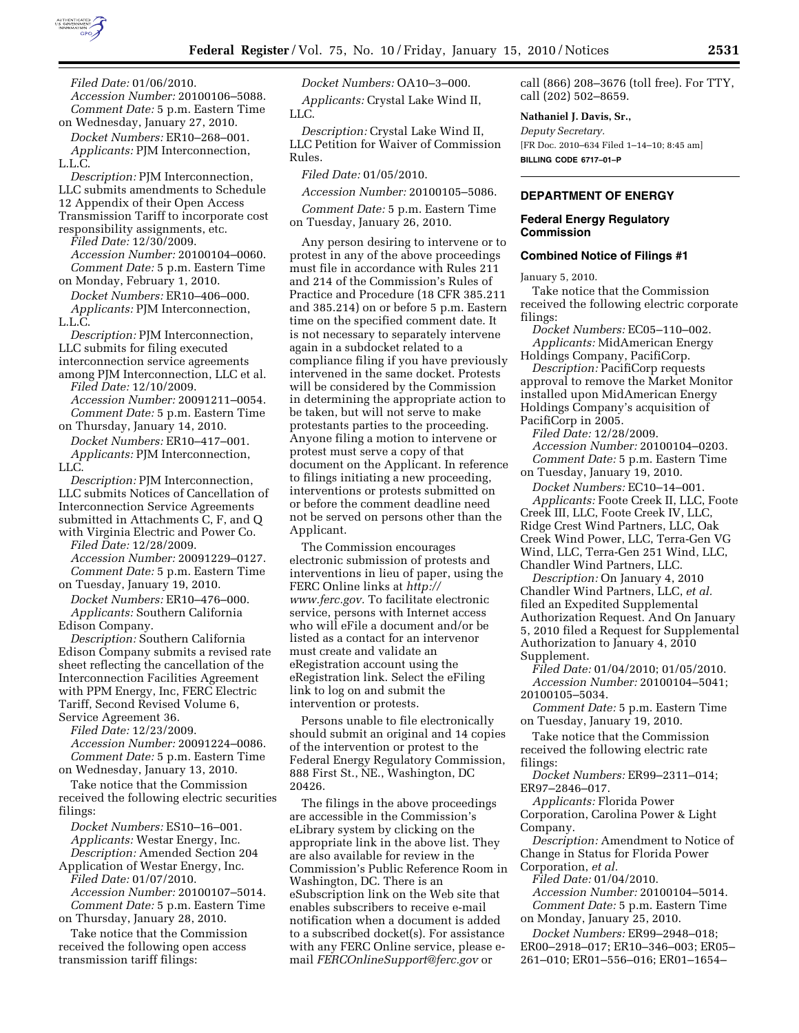

*Filed Date:* 01/06/2010. *Accession Number:* 20100106–5088. *Comment Date:* 5 p.m. Eastern Time on Wednesday, January 27, 2010.

*Docket Numbers:* ER10–268–001. *Applicants:* PJM Interconnection, L.L.C.

*Description:* PJM Interconnection, LLC submits amendments to Schedule 12 Appendix of their Open Access Transmission Tariff to incorporate cost responsibility assignments, etc.

*Filed Date:* 12/30/2009. *Accession Number:* 20100104–0060. *Comment Date:* 5 p.m. Eastern Time on Monday, February 1, 2010.

*Docket Numbers:* ER10–406–000. *Applicants:* PJM Interconnection, L.L.C.

*Description:* PJM Interconnection, LLC submits for filing executed interconnection service agreements among PJM Interconnection, LLC et al.

*Filed Date:* 12/10/2009. *Accession Number:* 20091211–0054. *Comment Date:* 5 p.m. Eastern Time

on Thursday, January 14, 2010. *Docket Numbers:* ER10–417–001. *Applicants:* PJM Interconnection, LLC.

*Description:* PJM Interconnection, LLC submits Notices of Cancellation of Interconnection Service Agreements submitted in Attachments C, F, and Q with Virginia Electric and Power Co.

*Filed Date:* 12/28/2009. *Accession Number:* 20091229–0127. *Comment Date:* 5 p.m. Eastern Time on Tuesday, January 19, 2010.

*Docket Numbers:* ER10–476–000. *Applicants:* Southern California Edison Company.

*Description:* Southern California Edison Company submits a revised rate sheet reflecting the cancellation of the Interconnection Facilities Agreement with PPM Energy, Inc, FERC Electric Tariff, Second Revised Volume 6, Service Agreement 36.

*Filed Date:* 12/23/2009. *Accession Number:* 20091224–0086. *Comment Date:* 5 p.m. Eastern Time on Wednesday, January 13, 2010.

Take notice that the Commission received the following electric securities filings:

*Docket Numbers:* ES10–16–001. *Applicants:* Westar Energy, Inc. *Description:* Amended Section 204 Application of Westar Energy, Inc.

*Filed Date:* 01/07/2010. *Accession Number:* 20100107–5014. *Comment Date:* 5 p.m. Eastern Time

on Thursday, January 28, 2010. Take notice that the Commission

received the following open access transmission tariff filings:

*Docket Numbers:* OA10–3–000.

*Applicants:* Crystal Lake Wind II, LLC.

*Description:* Crystal Lake Wind II, LLC Petition for Waiver of Commission Rules.

*Filed Date:* 01/05/2010.

*Accession Number:* 20100105–5086.

*Comment Date:* 5 p.m. Eastern Time on Tuesday, January 26, 2010.

Any person desiring to intervene or to protest in any of the above proceedings must file in accordance with Rules 211 and 214 of the Commission's Rules of Practice and Procedure (18 CFR 385.211 and 385.214) on or before 5 p.m. Eastern time on the specified comment date. It is not necessary to separately intervene again in a subdocket related to a compliance filing if you have previously intervened in the same docket. Protests will be considered by the Commission in determining the appropriate action to be taken, but will not serve to make protestants parties to the proceeding. Anyone filing a motion to intervene or protest must serve a copy of that document on the Applicant. In reference to filings initiating a new proceeding, interventions or protests submitted on or before the comment deadline need not be served on persons other than the Applicant.

The Commission encourages electronic submission of protests and interventions in lieu of paper, using the FERC Online links at *http:// www.ferc.gov.* To facilitate electronic service, persons with Internet access who will eFile a document and/or be listed as a contact for an intervenor must create and validate an eRegistration account using the eRegistration link. Select the eFiling link to log on and submit the intervention or protests.

Persons unable to file electronically should submit an original and 14 copies of the intervention or protest to the Federal Energy Regulatory Commission, 888 First St., NE., Washington, DC 20426.

The filings in the above proceedings are accessible in the Commission's eLibrary system by clicking on the appropriate link in the above list. They are also available for review in the Commission's Public Reference Room in Washington, DC. There is an eSubscription link on the Web site that enables subscribers to receive e-mail notification when a document is added to a subscribed docket(s). For assistance with any FERC Online service, please email *FERCOnlineSupport@ferc.gov* or

call (866) 208–3676 (toll free). For TTY, call (202) 502–8659.

## **Nathaniel J. Davis, Sr.,**

*Deputy Secretary.*  [FR Doc. 2010–634 Filed 1–14–10; 8:45 am] **BILLING CODE 6717–01–P** 

## **DEPARTMENT OF ENERGY**

## **Federal Energy Regulatory Commission**

## **Combined Notice of Filings #1**

January 5, 2010.

Take notice that the Commission received the following electric corporate filings:

*Docket Numbers:* EC05–110–002. *Applicants:* MidAmerican Energy

Holdings Company, PacifiCorp. *Description:* PacifiCorp requests approval to remove the Market Monitor installed upon MidAmerican Energy Holdings Company's acquisition of PacifiCorp in 2005.

*Filed Date:* 12/28/2009.

*Accession Number:* 20100104–0203. *Comment Date:* 5 p.m. Eastern Time

on Tuesday, January 19, 2010.

*Docket Numbers:* EC10–14–001. *Applicants:* Foote Creek II, LLC, Foote Creek III, LLC, Foote Creek IV, LLC, Ridge Crest Wind Partners, LLC, Oak Creek Wind Power, LLC, Terra-Gen VG Wind, LLC, Terra-Gen 251 Wind, LLC, Chandler Wind Partners, LLC.

*Description:* On January 4, 2010 Chandler Wind Partners, LLC, *et al.*  filed an Expedited Supplemental Authorization Request. And On January 5, 2010 filed a Request for Supplemental Authorization to January 4, 2010 Supplement.

*Filed Date:* 01/04/2010; 01/05/2010. *Accession Number:* 20100104–5041; 20100105–5034.

*Comment Date:* 5 p.m. Eastern Time on Tuesday, January 19, 2010.

Take notice that the Commission received the following electric rate filings:

*Docket Numbers:* ER99–2311–014; ER97–2846–017.

*Applicants:* Florida Power Corporation, Carolina Power & Light Company.

*Description:* Amendment to Notice of Change in Status for Florida Power Corporation, *et al.* 

*Filed Date:* 01/04/2010. *Accession Number:* 20100104–5014. *Comment Date:* 5 p.m. Eastern Time on Monday, January 25, 2010.

*Docket Numbers:* ER99–2948–018; ER00–2918–017; ER10–346–003; ER05– 261–010; ER01–556–016; ER01–1654–